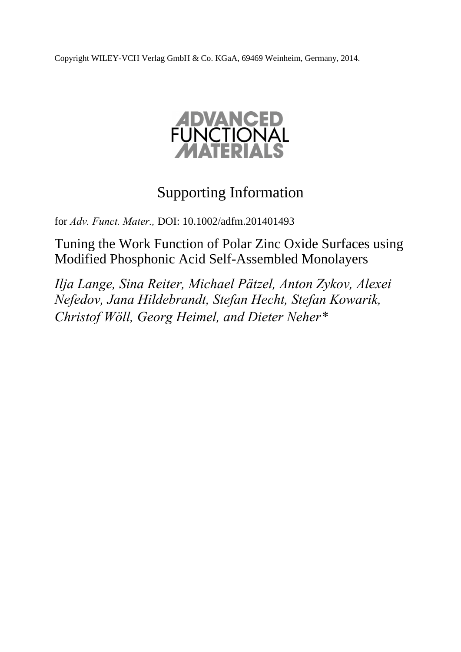Copyright WILEY-VCH Verlag GmbH & Co. KGaA, 69469 Weinheim, Germany, 2014.



# Supporting Information

for *Adv. Funct. Mater.,* DOI: 10.1002/adfm.201401493

Tuning the Work Function of Polar Zinc Oxide Surfaces using Modified Phosphonic Acid Self-Assembled Monolayers

*Ilja Lange, Sina Reiter, Michael Pätzel, Anton Zykov, Alexei Nefedov, Jana Hildebrandt, Stefan Hecht, Stefan Kowarik, Christof Wöll, Georg Heimel, and Dieter Neher\**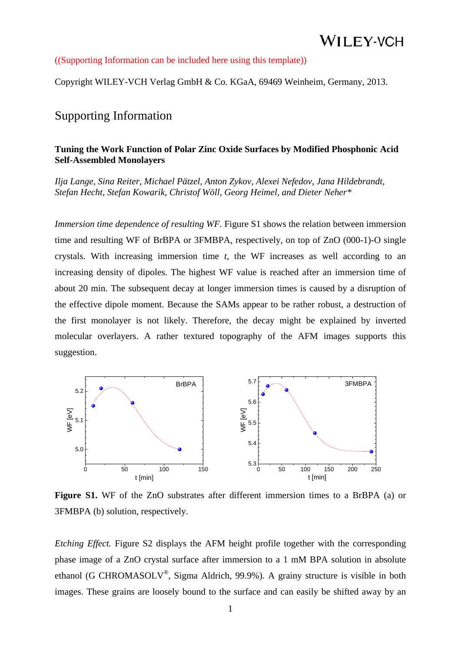#### ((Supporting Information can be included here using this template))

Copyright WILEY-VCH Verlag GmbH & Co. KGaA, 69469 Weinheim, Germany, 2013.

## Supporting Information

### **Tuning the Work Function of Polar Zinc Oxide Surfaces by Modified Phosphonic Acid Self-Assembled Monolayers**

*Ilja Lange, Sina Reiter, Michael Pätzel, Anton Zykov, Alexei Nefedov, Jana Hildebrandt, Stefan Hecht, Stefan Kowarik, Christof Wöll, Georg Heimel, and Dieter Neher\** 

*Immersion time dependence of resulting WF.* Figure S1 shows the relation between immersion time and resulting WF of BrBPA or 3FMBPA, respectively, on top of ZnO (000-1)-O single crystals. With increasing immersion time *t*, the WF increases as well according to an increasing density of dipoles. The highest WF value is reached after an immersion time of about 20 min. The subsequent decay at longer immersion times is caused by a disruption of the effective dipole moment. Because the SAMs appear to be rather robust, a destruction of the first monolayer is not likely. Therefore, the decay might be explained by inverted molecular overlayers. A rather textured topography of the AFM images supports this suggestion.



Figure S1. WF of the ZnO substrates after different immersion times to a BrBPA (a) or 3FMBPA (b) solution, respectively.

*Etching Effect.* Figure S2 displays the AFM height profile together with the corresponding phase image of a ZnO crystal surface after immersion to a 1 mM BPA solution in absolute ethanol (G CHROMASOLV®, Sigma Aldrich, 99.9%). A grainy structure is visible in both images. These grains are loosely bound to the surface and can easily be shifted away by an